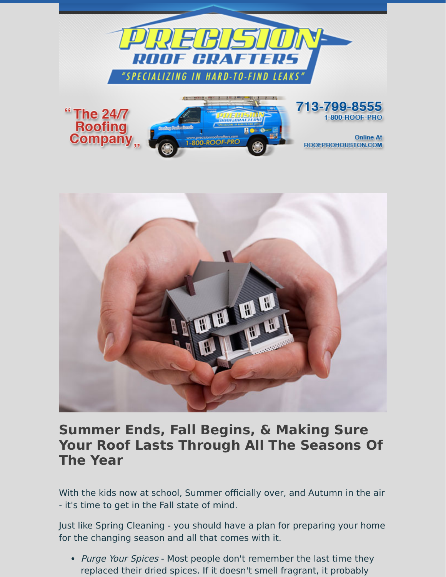



## **Summer Ends, Fall Begins, & Making Sure Your Roof Lasts Through All The Seasons Of The Year**

With the kids now at school, Summer officially over, and Autumn in the air - it's time to get in the Fall state of mind.

Just like Spring Cleaning - you should have a plan for preparing your home for the changing season and all that comes with it.

• Purge Your Spices - Most people don't remember the last time they replaced their dried spices. If it doesn't smell fragrant, it probably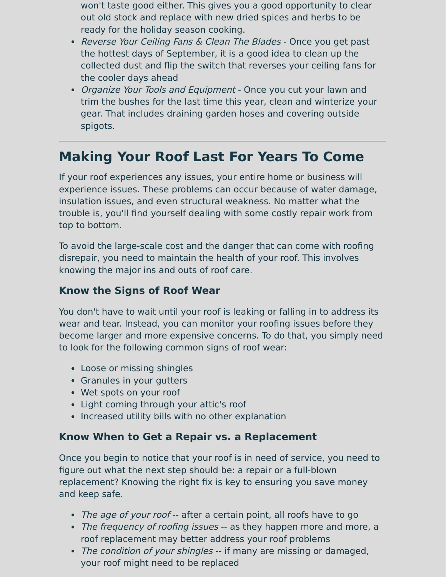- won't taste good either. This gives you a good opportunity to clear out old stock and replace with new dried spices and herbs to be ready for the holiday season cooking.
- Reverse Your Ceiling Fans & Clean The Blades Once you get past the hottest days of September, it is a good idea to clean up the collected dust and flip the switch that reverses your ceiling fans for the cooler days ahead
- Organize Your Tools and Equipment Once you cut your lawn and trim the bushes for the last time this year, clean and winterize your gear. That includes draining garden hoses and covering outside spigots.

## **Making Your Roof Last For Years To Come**

If your roof experiences any issues, your entire home or business will experience issues. These problems can occur because of water damage, insulation issues, and even structural weakness. No matter what the trouble is, you'll find yourself dealing with some costly repair work from top to bottom.

To avoid the large-scale cost and the danger that can come with roofing disrepair, you need to maintain the health of your roof. This involves knowing the major ins and outs of roof care.

## **Know the Signs of Roof Wear**

You don't have to wait until your roof is leaking or falling in to address its wear and tear. Instead, you can monitor your roofing issues before they become larger and more expensive concerns. To do that, you simply need to look for the following common signs of roof wear:

- Loose or missing shingles
- Granules in your gutters
- Wet spots on your roof
- Light coming through your attic's roof
- Increased utility bills with no other explanation

## **Know When to Get a Repair vs. a Replacement**

Once you begin to notice that your roof is in need of service, you need to figure out what the next step should be: a repair or a full-blown replacement? Knowing the right fix is key to ensuring you save money and keep safe.

- The age of your roof -- after a certain point, all roofs have to go
- The frequency of roofing issues -- as they happen more and more, a roof replacement may better address your roof problems
- The condition of your shingles -- if many are missing or damaged, your roof might need to be replaced